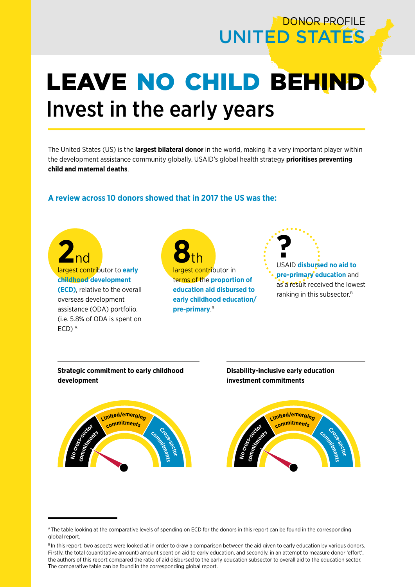# DONOR PROFILE UNITED STATES

# **LEAVE NO CHILD BEHIND** Invest in the early years

The United States (US) is the **largest bilateral donor** in the world, making it a very important player within the development assistance community globally. USAID's global health strategy **prioritises preventing child and maternal deaths**.

### **A review across 10 donors showed that in 2017 the US was the:**

**2**nd largest contributor to **early childhood development (ECD)**, relative to the overall overseas development assistance (ODA) portfolio. (i.e. 5.8% of ODA is spent on ECD) A

**No**

**8**<br> *B* **h**<br> *argest contributor in* terms of the **proportion of education aid disbursed to early childhood education/ pre-primary**. B





**Disability-inclusive early education investment commitments**



A The table looking at the comparative levels of spending on ECD for the donors in this report can be found in the corresponding global report.

BIn this report, two aspects were looked at in order to draw a comparison between the aid given to early education by various donors. Firstly, the total (quantitative amount) amount spent on aid to early education, and secondly, in an attempt to measure donor 'effort', the authors of this report compared the ratio of aid disbursed to the early education subsector to overall aid to the education sector. The comparative table can be found in the corresponding global report.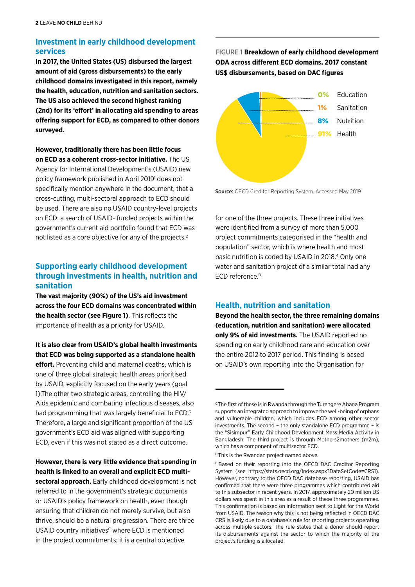### **Investment in early childhood development services**

**In 2017, the United States (US) disbursed the largest amount of aid (gross disbursements) to the early childhood domains investigated in this report, namely the health, education, nutrition and sanitation sectors. The US also achieved the second highest ranking (2nd) for its 'effort' in allocating aid spending to areas offering support for ECD, as compared to other donors surveyed.** 

**However, traditionally there has been little focus on ECD as a coherent cross-sector initiative.** The US Agency for International Development's (USAID) new policy framework published in April 2019<sup>1</sup> does not specifically mention anywhere in the document, that a cross-cutting, multi-sectoral approach to ECD should be used. There are also no USAID country-level projects on ECD: a search of USAID- funded projects within the government's current aid portfolio found that ECD was not listed as a core objective for any of the projects.<sup>2</sup>

#### **Supporting early childhood development through investments in health, nutrition and sanitation**

**The vast majority (90%) of the US's aid investment across the four ECD domains was concentrated within the health sector (see Figure 1)**. This reflects the importance of health as a priority for USAID.

**It is also clear from USAID's global health investments that ECD was being supported as a standalone health effort.** Preventing child and maternal deaths, which is one of three global strategic health areas prioritised by USAID, explicitly focused on the early years (goal

1).The other two strategic areas, controlling the HIV/ Aids epidemic and combating infectious diseases, also had programming that was largely beneficial to ECD.<sup>3</sup> Therefore, a large and significant proportion of the US government's ECD aid was aligned with supporting ECD, even if this was not stated as a direct outcome.

## **However, there is very little evidence that spending in health is linked to an overall and explicit ECD multi-**

**sectoral approach.** Early childhood development is not referred to in the government's strategic documents or USAID's policy framework on health, even though ensuring that children do not merely survive, but also thrive, should be a natural progression. There are three USAID country initiatives<sup>c</sup> where ECD is mentioned in the project commitments; it is a central objective

FIGURE 1 **Breakdown of early childhood development ODA across different ECD domains. 2017 constant US\$ disbursements, based on DAC figures**



Source: OECD Creditor Reporting System. Accessed May 2019

for one of the three projects. These three initiatives were identified from a survey of more than 5,000 project commitments categorised in the "health and population" sector, which is where health and most basic nutrition is coded by USAID in 2018.4 Only one water and sanitation project of a similar total had any ECD reference.<sup>D</sup>

# **Health, nutrition and sanitation**

**Beyond the health sector, the three remaining domains (education, nutrition and sanitation) were allocated only 9% of aid investments.** The USAID reported no spending on early childhood care and education over the entire 2012 to 2017 period. This finding is based on USAID's own reporting into the Organisation for

<sup>&</sup>lt;sup>c</sup> The first of these is in Rwanda through the Turengere Abana Program supports an integrated approach to improve the well-being of orphans and vulnerable children, which includes ECD among other sector investments. The second – the only standalone ECD programme – is the "Sisimpur" Early Childhood Development Mass Media Activity in Bangladesh. The third project is through Mothers2mothers (m2m), which has a component of multisector ECD.

<sup>&</sup>lt;sup>D</sup> This is the Rwandan project named above.

E Based on their reporting into the OECD DAC Creditor Reporting System (see <https://stats.oecd.org/Index.aspx?DataSetCode=CRS1>). However, contrary to the OECD DAC database reporting, USAID has confirmed that there were three programmes which contributed aid to this subsector in recent years. In 2017, approximately 20 million US dollars was spent in this area as a result of these three programmes. This confirmation is based on information sent to Light for the World from USAID. The reason why this is not being reflected in OECD DAC CRS is likely due to a database's rule for reporting projects operating across multiple sectors. The rule states that a donor should report its disbursements against the sector to which the majority of the project's funding is allocated.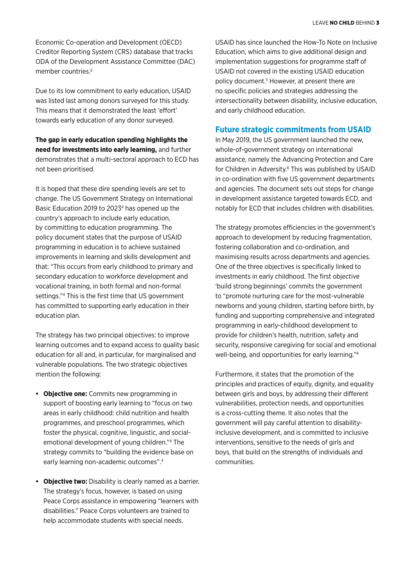Economic Co-operation and Development (OECD) Creditor Reporting System (CRS) database that tracks ODA of the Development Assistance Committee (DAC) member countries.<sup>E</sup>

Due to its low commitment to early education, USAID was listed last among donors surveyed for this study. This means that it demonstrated the least 'effort' towards early education of any donor surveyed.

**The gap in early education spending highlights the need for investments into early learning,** and further demonstrates that a multi-sectoral approach to ECD has not been prioritised.

It is hoped that these dire spending levels are set to change. The US Government Strategy on International Basic Education 2019 to 20234 has opened up the country's approach to include early education, by committing to education programming. The policy document states that the purpose of USAID programming in education is to achieve sustained improvements in learning and skills development and that: "This occurs from early childhood to primary and secondary education to workforce development and vocational training, in both formal and non-formal settings."4 This is the first time that US government has committed to supporting early education in their education plan.

The strategy has two principal objectives: to improve learning outcomes and to expand access to quality basic education for all and, in particular, for marginalised and vulnerable populations. The two strategic objectives mention the following:

- **• Objective one:** Commits new programming in support of boosting early learning to "focus on two areas in early childhood: child nutrition and health programmes, and preschool programmes, which foster the physical, cognitive, linguistic, and socialemotional development of young children."4 The strategy commits to "building the evidence base on early learning non-academic outcomes".4
- **• Objective two:** Disability is clearly named as a barrier. The strategy's focus, however, is based on using Peace Corps assistance in empowering "learners with disabilities." Peace Corps volunteers are trained to help accommodate students with special needs.

USAID has since launched the How-To Note on Inclusive Education, which aims to give additional design and implementation suggestions for programme staff of USAID not covered in the existing USAID education policy document.<sup>5</sup> However, at present there are no specific policies and strategies addressing the intersectionality between disability, inclusive education, and early childhood education.

#### **Future strategic commitments from USAID**

In May 2019, the US government launched the new, whole-of-government strategy on international assistance, namely the Advancing Protection and Care for Children in Adversity.6 This was published by USAID in co-ordination with five US government departments and agencies. The document sets out steps for change in development assistance targeted towards ECD, and notably for ECD that includes children with disabilities.

The strategy promotes efficiencies in the government's approach to development by reducing fragmentation, fostering collaboration and co-ordination, and maximising results across departments and agencies. One of the three objectives is specifically linked to investments in early childhood. The first objective 'build strong beginnings' commits the government to "promote nurturing care for the most-vulnerable newborns and young children, starting before birth, by funding and supporting comprehensive and integrated programming in early-childhood development to provide for children's health, nutrition, safety and security, responsive caregiving for social and emotional well-being, and opportunities for early learning."6

Furthermore, it states that the promotion of the principles and practices of equity, dignity, and equality between girls and boys, by addressing their different vulnerabilities, protection needs, and opportunities is a cross-cutting theme. It also notes that the government will pay careful attention to disabilityinclusive development, and is committed to inclusive interventions, sensitive to the needs of girls and boys, that build on the strengths of individuals and communities.